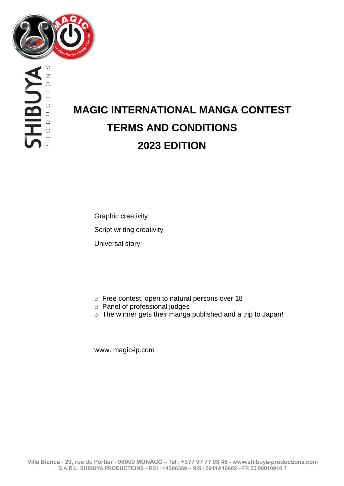

HBUM  $\circ$  $\approx$ 

# **MAGIC INTERNATIONAL MANGA CONTEST TERMS AND CONDITIONS 2023 EDITION**

Graphic creativity Script writing creativity Universal story

- o Free contest, open to natural persons over 18
- o Panel of professional judges
- o The winner gets their manga published and a trip to Japan!

[www. magic-ip.com](http://www.magic-ip.com/)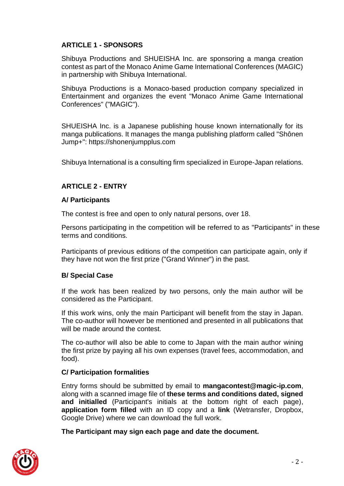# **ARTICLE 1 - SPONSORS**

Shibuya Productions and SHUEISHA Inc. are sponsoring a manga creation contest as part of the Monaco Anime Game International Conferences (MAGIC) in partnership with Shibuya International.

Shibuya Productions is a Monaco-based production company specialized in Entertainment and organizes the event "Monaco Anime Game International Conferences" ("MAGIC").

SHUEISHA Inc. is a Japanese publishing house known internationally for its manga publications. It manages the manga publishing platform called "Shônen Jump+": [https://shonenjumpplus.com](https://shonenjumpplus.com/)

Shibuya International is a consulting firm specialized in Europe-Japan relations.

## **ARTICLE 2 - ENTRY**

#### **A/ Participants**

The contest is free and open to only natural persons, over 18.

Persons participating in the competition will be referred to as "Participants" in these terms and conditions.

Participants of previous editions of the competition can participate again, only if they have not won the first prize ("Grand Winner") in the past.

#### **B/ Special Case**

If the work has been realized by two persons, only the main author will be considered as the Participant.

If this work wins, only the main Participant will benefit from the stay in Japan. The co-author will however be mentioned and presented in all publications that will be made around the contest.

The co-author will also be able to come to Japan with the main author wining the first prize by paying all his own expenses (travel fees, accommodation, and food).

#### **C/ Participation formalities**

Entry forms should be submitted by email to **[mangacontest@magic-ip.com](mailto:mangacontest@magic-ip.com)**, along with a scanned image file of **these terms and conditions dated, signed and initialled** (Participant's initials at the bottom right of each page), **application form filled** with an ID copy and a **link** (Wetransfer, Dropbox, Google Drive) where we can download the full work.

**The Participant may sign each page and date the document.** 

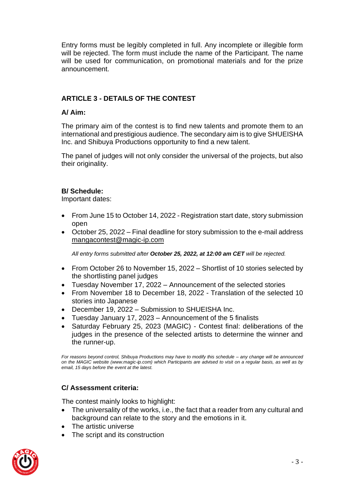Entry forms must be legibly completed in full. Any incomplete or illegible form will be rejected. The form must include the name of the Participant. The name will be used for communication, on promotional materials and for the prize announcement.

# **ARTICLE 3 - DETAILS OF THE CONTEST**

## **A/ Aim:**

The primary aim of the contest is to find new talents and promote them to an international and prestigious audience. The secondary aim is to give SHUEISHA Inc. and Shibuya Productions opportunity to find a new talent.

The panel of judges will not only consider the universal of the projects, but also their originality.

#### **B/ Schedule:**

Important dates:

- From June 15 to October 14, 2022 Registration start date, story submission open
- October 25, 2022 Final deadline for story submission to the e-mail address mangacontest@magic-ip.com

*All entry forms submitted after October 25, 2022, at 12:00 am CET will be rejected.* 

- From October 26 to November 15, 2022 Shortlist of 10 stories selected by the shortlisting panel judges
- Tuesday November 17, 2022 Announcement of the selected stories
- From November 18 to December 18, 2022 Translation of the selected 10 stories into Japanese
- December 19, 2022 Submission to SHUEISHA Inc.
- Tuesday January 17, 2023 Announcement of the 5 finalists
- Saturday February 25, 2023 (MAGIC) Contest final: deliberations of the judges in the presence of the selected artists to determine the winner and the runner-up.

*For reasons beyond control, Shibuya Productions may have to modify this schedule – any change will be announced on the MAGIC website (www.magic-ip.com) which Participants are advised to visit on a regular basis, as well as by email, 15 days before the event at the latest.*

## **C/ Assessment criteria:**

The contest mainly looks to highlight:

- The universality of the works, i.e., the fact that a reader from any cultural and background can relate to the story and the emotions in it.
- The artistic universe
- The script and its construction

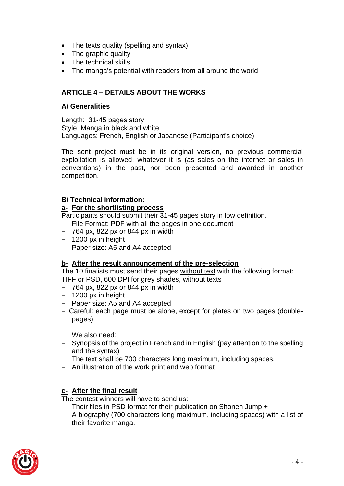- The texts quality (spelling and syntax)
- The graphic quality
- The technical skills
- The manga's potential with readers from all around the world

# **ARTICLE 4 – DETAILS ABOUT THE WORKS**

## **A/ Generalities**

Length: 31-45 pages story Style: Manga in black and white Languages: French, English or Japanese (Participant's choice)

The sent project must be in its original version, no previous commercial exploitation is allowed, whatever it is (as sales on the internet or sales in conventions) in the past, nor been presented and awarded in another competition.

# **B/ Technical information:**

## **a- For the shortlisting process**

Participants should submit their 31-45 pages story in low definition.

- File Format: PDF with all the pages in one document
- $-$  764 px, 822 px or 844 px in width
- 1200 px in height
- Paper size: A5 and A4 accepted

## **b- After the result announcement of the pre-selection**

The 10 finalists must send their pages without text with the following format: TIFF or PSD, 600 DPI for grey shades, without texts

- $-$  764 px, 822 px or 844 px in width
- 1200 px in height
- Paper size: A5 and A4 accepted
- Careful: each page must be alone, except for plates on two pages (doublepages)

We also need:

- Synopsis of the project in French and in English (pay attention to the spelling and the syntax)

The text shall be 700 characters long maximum, including spaces.

- An illustration of the work print and web format

## **c- After the final result**

The contest winners will have to send us:

- Their files in PSD format for their publication on Shonen Jump +
- A biography (700 characters long maximum, including spaces) with a list of their favorite manga.

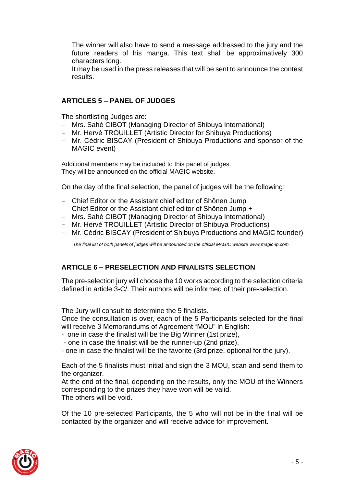The winner will also have to send a message addressed to the jury and the future readers of his manga. This text shall be approximatively 300 characters long.

It may be used in the press releases that will be sent to announce the contest results.

# **ARTICLES 5 – PANEL OF JUDGES**

The shortlisting Judges are:

- Mrs. Sahé CIBOT (Managing Director of Shibuya International)
- Mr. Hervé TROUILLET (Artistic Director for Shibuya Productions)
- Mr. Cédric BISCAY (President of Shibuya Productions and sponsor of the MAGIC event)

Additional members may be included to this panel of judges. They will be announced on the official MAGIC website.

On the day of the final selection, the panel of judges will be the following:

- Chief Editor or the Assistant chief editor of Shônen Jump
- Chief Editor or the Assistant chief editor of Shônen Jump +
- Mrs. Sahé CIBOT (Managing Director of Shibuya International)
- Mr. Hervé TROUILLET (Artistic Director of Shibuya Productions)
- Mr. Cédric BISCAY (President of Shibuya Productions and MAGIC founder)

 *The final list of both panels of judges will be announced on the official MAGIC website [www.magic-ip.com](http://www.magic-ip.com/)*

## **ARTICLE 6 – PRESELECTION AND FINALISTS SELECTION**

The pre-selection jury will choose the 10 works according to the selection criteria defined in article 3-C/. Their authors will be informed of their pre-selection.

The Jury will consult to determine the 5 finalists.

Once the consultation is over, each of the 5 Participants selected for the final will receive 3 Memorandums of Agreement "MOU" in English:

- one in case the finalist will be the Big Winner (1st prize),
- one in case the finalist will be the runner-up (2nd prize),
- one in case the finalist will be the favorite (3rd prize, optional for the jury).

Each of the 5 finalists must initial and sign the 3 MOU, scan and send them to the organizer.

At the end of the final, depending on the results, only the MOU of the Winners corresponding to the prizes they have won will be valid. The others will be void.

Of the 10 pre-selected Participants, the 5 who will not be in the final will be contacted by the organizer and will receive advice for improvement.

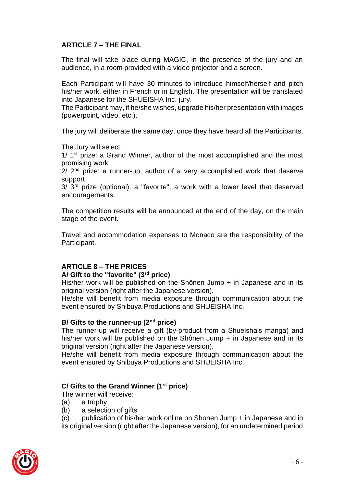# **ARTICLE 7 – THE FINAL**

The final will take place during MAGIC, in the presence of the jury and an audience, in a room provided with a video projector and a screen.

Each Participant will have 30 minutes to introduce himself/herself and pitch his/her work, either in French or in English. The presentation will be translated into Japanese for the SHUEISHA Inc. jury.

The Participant may, if he/she wishes, upgrade his/her presentation with images (powerpoint, video, etc.).

The jury will deliberate the same day, once they have heard all the Participants.

The Jury will select:

1/ 1<sup>st</sup> prize: a Grand Winner, author of the most accomplished and the most promising work

 $2/2<sup>nd</sup>$  prize: a runner-up, author of a very accomplished work that deserve support

 $3/3<sup>rd</sup>$  prize (optional): a "favorite", a work with a lower level that deserved encouragements.

The competition results will be announced at the end of the day, on the main stage of the event.

Travel and accommodation expenses to Monaco are the responsibility of the Participant.

## **ARTICLE 8 – THE PRICES**

#### **A/ Gift to the "favorite" (3rd price)**

His/her work will be published on the Shônen Jump + in Japanese and in its original version (right after the Japanese version).

He/she will benefit from media exposure through communication about the event ensured by Shibuya Productions and SHUEISHA Inc.

## **B/ Gifts to the runner-up (2nd price)**

The runner-up will receive a gift (by-product from a Shueisha's manga) and his/her work will be published on the Shônen Jump + in Japanese and in its original version (right after the Japanese version).

He/she will benefit from media exposure through communication about the event ensured by Shibuya Productions and SHUEISHA Inc.

## **C/ Gifts to the Grand Winner (1st price)**

The winner will receive:

- (a) a trophy
- (b) a selection of gifts

(c) publication of his/her work online on Shonen Jump + in Japanese and in its original version (right after the Japanese version), for an undetermined period

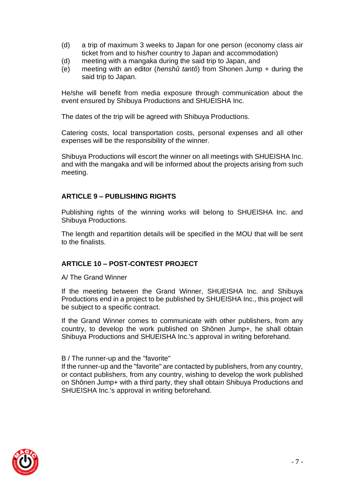- (d) a trip of maximum 3 weeks to Japan for one person (economy class air ticket from and to his/her country to Japan and accommodation)
- (d) meeting with a mangaka during the said trip to Japan, and
- (e) meeting with an editor (*henshû tantô*) from Shonen Jump + during the said trip to Japan.

He/she will benefit from media exposure through communication about the event ensured by Shibuya Productions and SHUEISHA Inc.

The dates of the trip will be agreed with Shibuya Productions.

Catering costs, local transportation costs, personal expenses and all other expenses will be the responsibility of the winner.

Shibuya Productions will escort the winner on all meetings with SHUEISHA Inc. and with the mangaka and will be informed about the projects arising from such meeting.

## **ARTICLE 9 – PUBLISHING RIGHTS**

Publishing rights of the winning works will belong to SHUEISHA Inc. and Shibuya Productions.

The length and repartition details will be specified in the MOU that will be sent to the finalists.

#### **ARTICLE 10 – POST-CONTEST PROJECT**

A/ The Grand Winner

If the meeting between the Grand Winner, SHUEISHA Inc. and Shibuya Productions end in a project to be published by SHUEISHA Inc., this project will be subject to a specific contract.

If the Grand Winner comes to communicate with other publishers, from any country, to develop the work published on Shônen Jump+, he shall obtain Shibuya Productions and SHUEISHA Inc.'s approval in writing beforehand.

#### B / The runner-up and the "favorite"

If the runner-up and the "favorite" are contacted by publishers, from any country, or contact publishers, from any country, wishing to develop the work published on Shônen Jump+ with a third party, they shall obtain Shibuya Productions and SHUEISHA Inc.'s approval in writing beforehand.

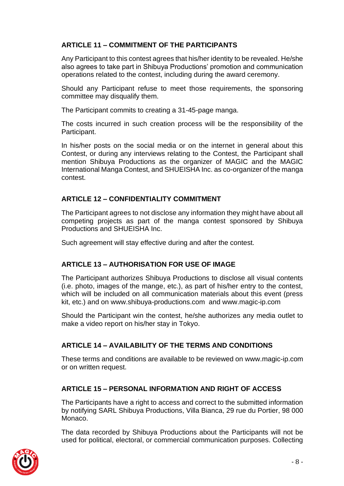# **ARTICLE 11 – COMMITMENT OF THE PARTICIPANTS**

Any Participant to this contest agrees that his/her identity to be revealed. He/she also agrees to take part in Shibuya Productions' promotion and communication operations related to the contest, including during the award ceremony.

Should any Participant refuse to meet those requirements, the sponsoring committee may disqualify them.

The Participant commits to creating a 31-45-page manga.

The costs incurred in such creation process will be the responsibility of the Participant.

In his/her posts on the social media or on the internet in general about this Contest, or during any interviews relating to the Contest, the Participant shall mention Shibuya Productions as the organizer of MAGIC and the MAGIC International Manga Contest, and SHUEISHA Inc. as co-organizer of the manga contest.

# **ARTICLE 12 – CONFIDENTIALITY COMMITMENT**

The Participant agrees to not disclose any information they might have about all competing projects as part of the manga contest sponsored by Shibuya Productions and SHUEISHA Inc.

Such agreement will stay effective during and after the contest.

# **ARTICLE 13 – AUTHORISATION FOR USE OF IMAGE**

The Participant authorizes Shibuya Productions to disclose all visual contents (i.e. photo, images of the mange, etc.), as part of his/her entry to the contest, which will be included on all communication materials about this event (press kit, etc.) and on [www.shibuya-productions.com](http://www.shibuya-productions.com/) and [www.magic-ip.com](http://www.magic-ip.com/)

Should the Participant win the contest, he/she authorizes any media outlet to make a video report on his/her stay in Tokyo.

# **ARTICLE 14 – AVAILABILITY OF THE TERMS AND CONDITIONS**

These terms and conditions are available to be reviewed on [www.magic-ip.com](http://www.magic-ip.com/) or on written request.

# **ARTICLE 15 – PERSONAL INFORMATION AND RIGHT OF ACCESS**

The Participants have a right to access and correct to the submitted information by notifying SARL Shibuya Productions, Villa Bianca, 29 rue du Portier, 98 000 Monaco.

The data recorded by Shibuya Productions about the Participants will not be used for political, electoral, or commercial communication purposes. Collecting

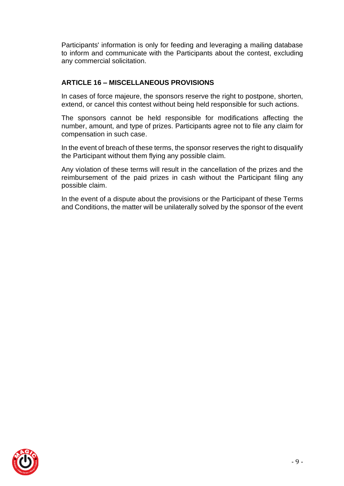Participants' information is only for feeding and leveraging a mailing database to inform and communicate with the Participants about the contest, excluding any commercial solicitation.

# **ARTICLE 16 – MISCELLANEOUS PROVISIONS**

In cases of force majeure, the sponsors reserve the right to postpone, shorten, extend, or cancel this contest without being held responsible for such actions.

The sponsors cannot be held responsible for modifications affecting the number, amount, and type of prizes. Participants agree not to file any claim for compensation in such case.

In the event of breach of these terms, the sponsor reserves the right to disqualify the Participant without them flying any possible claim.

Any violation of these terms will result in the cancellation of the prizes and the reimbursement of the paid prizes in cash without the Participant filing any possible claim.

In the event of a dispute about the provisions or the Participant of these Terms and Conditions, the matter will be unilaterally solved by the sponsor of the event

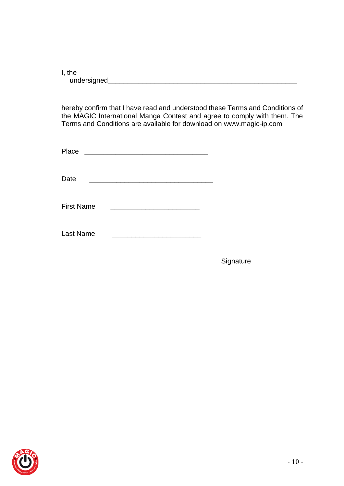I, the undersigned\_\_\_\_\_\_\_\_\_\_\_\_\_\_\_\_\_\_\_\_\_\_\_\_\_\_\_\_\_\_\_\_\_\_\_\_\_\_\_\_\_\_\_\_\_\_\_\_\_

hereby confirm that I have read and understood these Terms and Conditions of the MAGIC International Manga Contest and agree to comply with them. The Terms and Conditions are available for download on [www.magic-ip.com](http://www.magic-ip.com/)

| Place             | <u> 1989 - John Stein, Amerikaansk politiker (* 1908)</u> |  |
|-------------------|-----------------------------------------------------------|--|
| Date              |                                                           |  |
| <b>First Name</b> |                                                           |  |
| Last Name         |                                                           |  |

**Signature**